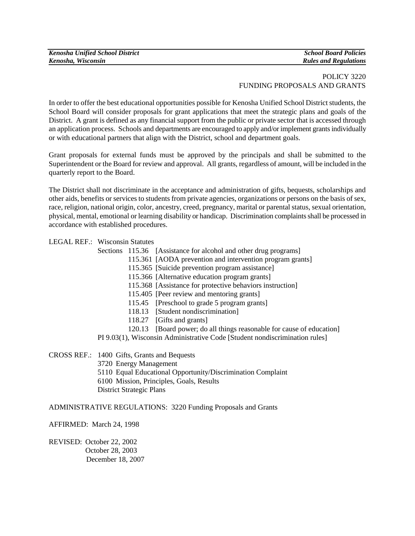## POLICY 3220 FUNDING PROPOSALS AND GRANTS

In order to offer the best educational opportunities possible for Kenosha Unified School District students, the School Board will consider proposals for grant applications that meet the strategic plans and goals of the District. A grant is defined as any financial support from the public or private sector that is accessed through an application process. Schools and departments are encouraged to apply and/or implement grants individually or with educational partners that align with the District, school and department goals.

Grant proposals for external funds must be approved by the principals and shall be submitted to the Superintendent or the Board for review and approval. All grants, regardless of amount, will be included in the quarterly report to the Board.

The District shall not discriminate in the acceptance and administration of gifts, bequests, scholarships and other aids, benefits or services to students from private agencies, organizations or persons on the basis of sex, race, religion, national origin, color, ancestry, creed, pregnancy, marital or parental status, sexual orientation, physical, mental, emotional or learning disability or handicap. Discrimination complaints shall be processed in accordance with established procedures.

LEGAL REF.: Wisconsin Statutes

Sections 115.36 [Assistance for alcohol and other drug programs]

115.361 [AODA prevention and intervention program grants]

115.365 [Suicide prevention program assistance]

115.366 [Alternative education program grants]

115.368 [Assistance for protective behaviors instruction]

115.405 [Peer review and mentoring grants]

115.45 [Preschool to grade 5 program grants]

118.13 [Student nondiscrimination]

118.27 [Gifts and grants]

120.13 [Board power; do all things reasonable for cause of education]

PI 9.03(1), Wisconsin Administrative Code [Student nondiscrimination rules]

CROSS REF.: 1400 Gifts, Grants and Bequests

- 3720 Energy Management
- 5110 Equal Educational Opportunity/Discrimination Complaint
- 6100 Mission, Principles, Goals, Results

District Strategic Plans

ADMINISTRATIVE REGULATIONS: 3220 Funding Proposals and Grants

AFFIRMED: March 24, 1998

REVISED: October 22, 2002 October 28, 2003 December 18, 2007